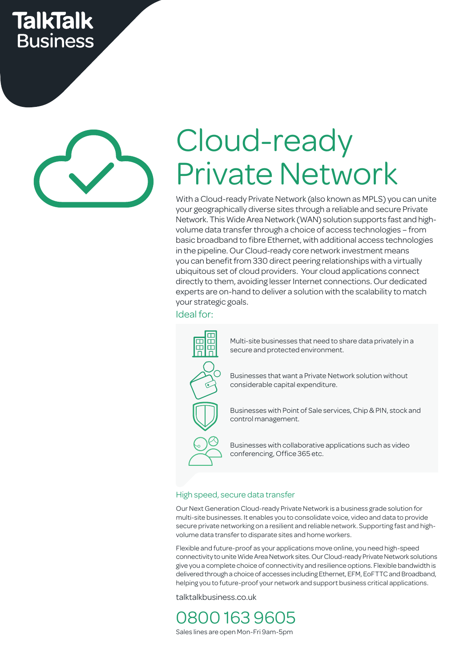## **TalkTalk Business**

# Cloud-ready Private Network

With a Cloud-ready Private Network (also known as MPLS) you can unite your geographically diverse sites through a reliable and secure Private Network. This Wide Area Network (WAN) solution supports fast and highvolume data transfer through a choice of access technologies – from basic broadband to fibre Ethernet, with additional access technologies in the pipeline. Our Cloud-ready core network investment means you can benefit from 330 direct peering relationships with a virtually ubiquitous set of cloud providers. Your cloud applications connect directly to them, avoiding lesser Internet connections. Our dedicated experts are on-hand to deliver a solution with the scalability to match your strategic goals.

Ideal for:



Multi-site businesses that need to share data privately in a secure and protected environment.

Businesses that want a Private Network solution without considerable capital expenditure.

Businesses with Point of Sale services, Chip & PIN, stock and control management.

Businesses with collaborative applications such as video conferencing, Office 365 etc.

### High speed, secure data transfer

Our Next Generation Cloud-ready Private Network is a business grade solution for multi-site businesses. It enables you to consolidate voice, video and data to provide secure private networking on a resilient and reliable network. Supporting fast and highvolume data transfer to disparate sites and home workers.

Flexible and future-proof as your applications move online, you need high-speed connectivity to unite Wide Area Network sites. Our Cloud-ready Private Network solutions give you a complete choice of connectivity and resilience options. Flexible bandwidth is delivered through a choice of accesses including Ethernet, EFM, EoFTTC and Broadband, helping you to future-proof your network and support business critical applications.

talktalkbusiness.co.uk

0800 163 9605 Sales lines are open Mon-Fri 9am-5pm